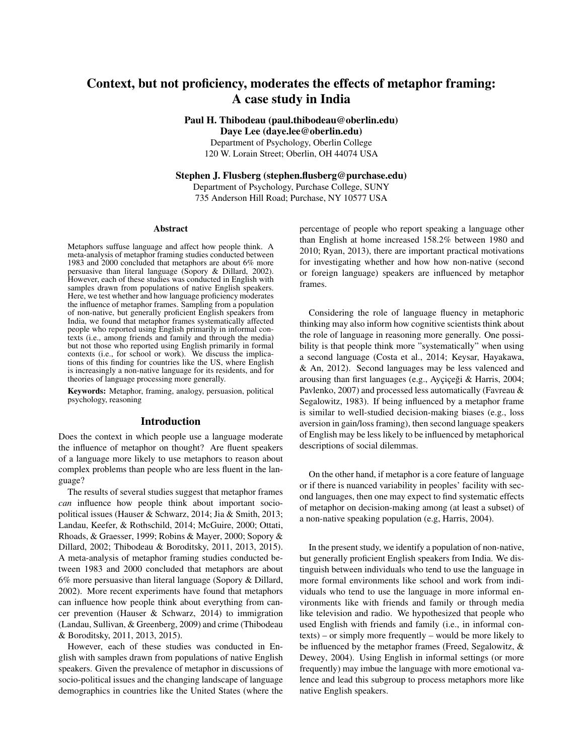# Context, but not proficiency, moderates the effects of metaphor framing: A case study in India

Paul H. Thibodeau (paul.thibodeau@oberlin.edu) Daye Lee (daye.lee@oberlin.edu)

Department of Psychology, Oberlin College

120 W. Lorain Street; Oberlin, OH 44074 USA

Stephen J. Flusberg (stephen.flusberg@purchase.edu)

Department of Psychology, Purchase College, SUNY 735 Anderson Hill Road; Purchase, NY 10577 USA

#### Abstract

Metaphors suffuse language and affect how people think. A meta-analysis of metaphor framing studies conducted between 1983 and 2000 concluded that metaphors are about 6% more persuasive than literal language (Sopory & Dillard, 2002). However, each of these studies was conducted in English with samples drawn from populations of native English speakers. Here, we test whether and how language proficiency moderates the influence of metaphor frames. Sampling from a population of non-native, but generally proficient English speakers from India, we found that metaphor frames systematically affected people who reported using English primarily in informal contexts (i.e., among friends and family and through the media) but not those who reported using English primarily in formal contexts (i.e., for school or work). We discuss the implications of this finding for countries like the US, where English is increasingly a non-native language for its residents, and for theories of language processing more generally.

Keywords: Metaphor, framing, analogy, persuasion, political psychology, reasoning

#### Introduction

Does the context in which people use a language moderate the influence of metaphor on thought? Are fluent speakers of a language more likely to use metaphors to reason about complex problems than people who are less fluent in the language?

The results of several studies suggest that metaphor frames *can* influence how people think about important sociopolitical issues (Hauser & Schwarz, 2014; Jia & Smith, 2013; Landau, Keefer, & Rothschild, 2014; McGuire, 2000; Ottati, Rhoads, & Graesser, 1999; Robins & Mayer, 2000; Sopory & Dillard, 2002; Thibodeau & Boroditsky, 2011, 2013, 2015). A meta-analysis of metaphor framing studies conducted between 1983 and 2000 concluded that metaphors are about 6% more persuasive than literal language (Sopory & Dillard, 2002). More recent experiments have found that metaphors can influence how people think about everything from cancer prevention (Hauser & Schwarz, 2014) to immigration (Landau, Sullivan, & Greenberg, 2009) and crime (Thibodeau & Boroditsky, 2011, 2013, 2015).

However, each of these studies was conducted in English with samples drawn from populations of native English speakers. Given the prevalence of metaphor in discussions of socio-political issues and the changing landscape of language demographics in countries like the United States (where the percentage of people who report speaking a language other than English at home increased 158.2% between 1980 and 2010; Ryan, 2013), there are important practical motivations for investigating whether and how how non-native (second or foreign language) speakers are influenced by metaphor frames.

Considering the role of language fluency in metaphoric thinking may also inform how cognitive scientists think about the role of language in reasoning more generally. One possibility is that people think more "systematically" when using a second language (Costa et al., 2014; Keysar, Hayakawa, & An, 2012). Second languages may be less valenced and arousing than first languages (e.g., Ayçiçeği  $& Harris, 2004;$ Pavlenko, 2007) and processed less automatically (Favreau & Segalowitz, 1983). If being influenced by a metaphor frame is similar to well-studied decision-making biases (e.g., loss aversion in gain/loss framing), then second language speakers of English may be less likely to be influenced by metaphorical descriptions of social dilemmas.

On the other hand, if metaphor is a core feature of language or if there is nuanced variability in peoples' facility with second languages, then one may expect to find systematic effects of metaphor on decision-making among (at least a subset) of a non-native speaking population (e.g, Harris, 2004).

In the present study, we identify a population of non-native, but generally proficient English speakers from India. We distinguish between individuals who tend to use the language in more formal environments like school and work from individuals who tend to use the language in more informal environments like with friends and family or through media like television and radio. We hypothesized that people who used English with friends and family (i.e., in informal contexts) – or simply more frequently – would be more likely to be influenced by the metaphor frames (Freed, Segalowitz, & Dewey, 2004). Using English in informal settings (or more frequently) may imbue the language with more emotional valence and lead this subgroup to process metaphors more like native English speakers.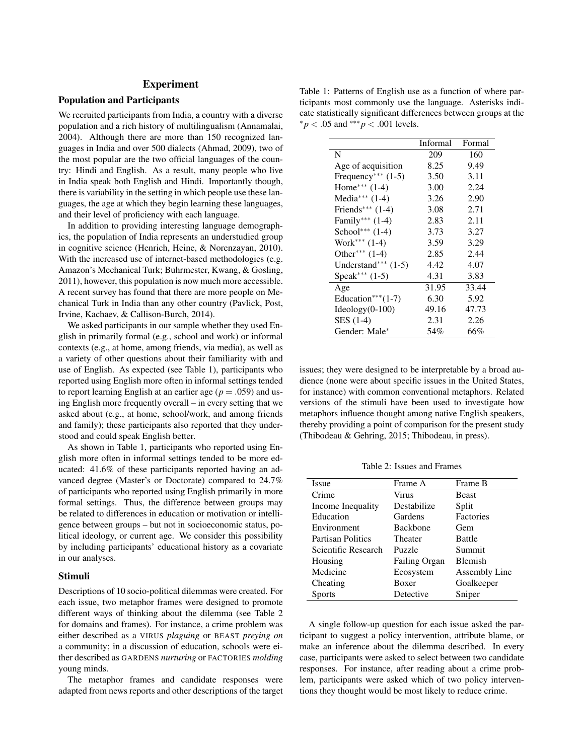# Experiment

## Population and Participants

We recruited participants from India, a country with a diverse population and a rich history of multilingualism (Annamalai, 2004). Although there are more than 150 recognized languages in India and over 500 dialects (Ahmad, 2009), two of the most popular are the two official languages of the country: Hindi and English. As a result, many people who live in India speak both English and Hindi. Importantly though, there is variability in the setting in which people use these languages, the age at which they begin learning these languages, and their level of proficiency with each language.

In addition to providing interesting language demographics, the population of India represents an understudied group in cognitive science (Henrich, Heine, & Norenzayan, 2010). With the increased use of internet-based methodologies (e.g. Amazon's Mechanical Turk; Buhrmester, Kwang, & Gosling, 2011), however, this population is now much more accessible. A recent survey has found that there are more people on Mechanical Turk in India than any other country (Pavlick, Post, Irvine, Kachaev, & Callison-Burch, 2014).

We asked participants in our sample whether they used English in primarily formal (e.g., school and work) or informal contexts (e.g., at home, among friends, via media), as well as a variety of other questions about their familiarity with and use of English. As expected (see Table 1), participants who reported using English more often in informal settings tended to report learning English at an earlier age ( $p = .059$ ) and using English more frequently overall – in every setting that we asked about (e.g., at home, school/work, and among friends and family); these participants also reported that they understood and could speak English better.

As shown in Table 1, participants who reported using English more often in informal settings tended to be more educated: 41.6% of these participants reported having an advanced degree (Master's or Doctorate) compared to 24.7% of participants who reported using English primarily in more formal settings. Thus, the difference between groups may be related to differences in education or motivation or intelligence between groups – but not in socioeconomic status, political ideology, or current age. We consider this possibility by including participants' educational history as a covariate in our analyses.

#### Stimuli

Descriptions of 10 socio-political dilemmas were created. For each issue, two metaphor frames were designed to promote different ways of thinking about the dilemma (see Table 2 for domains and frames). For instance, a crime problem was either described as a VIRUS *plaguing* or BEAST *preying on* a community; in a discussion of education, schools were either described as GARDENS *nurturing* or FACTORIES *molding* young minds.

The metaphor frames and candidate responses were adapted from news reports and other descriptions of the target

Table 1: Patterns of English use as a function of where participants most commonly use the language. Asterisks indicate statistically significant differences between groups at the  ${}^*p$  < .05 and  ${}^{***}p$  < .001 levels.

|                                  | Informal | Formal |
|----------------------------------|----------|--------|
| N                                | 209      | 160    |
| Age of acquisition               | 8.25     | 9.49   |
| Frequency <sup>***</sup> $(1-5)$ | 3.50     | 3.11   |
| Home*** $(1-4)$                  | 3.00     | 2.24   |
| Media*** $(1-4)$                 | 3.26     | 2.90   |
| Friends*** $(1-4)$               | 3.08     | 2.71   |
| Family*** $(1-4)$                | 2.83     | 2.11   |
| School*** $(1-4)$                | 3.73     | 3.27   |
| Work*** $(1-4)$                  | 3.59     | 3.29   |
| Other*** $(1-4)$                 | 2.85     | 2.44   |
| Understand*** $(1-5)$            | 4.42     | 4.07   |
| Speak*** $(1-5)$                 | 4.31     | 3.83   |
| Age                              | 31.95    | 33.44  |
| Education*** $(1-7)$             | 6.30     | 5.92   |
| $Ideology(0-100)$                | 49.16    | 47.73  |
| SES (1-4)                        | 2.31     | 2.26   |
| Gender: Male*                    | 54%      | 66%    |

issues; they were designed to be interpretable by a broad audience (none were about specific issues in the United States, for instance) with common conventional metaphors. Related versions of the stimuli have been used to investigate how metaphors influence thought among native English speakers, thereby providing a point of comparison for the present study (Thibodeau & Gehring, 2015; Thibodeau, in press).

Table 2: Issues and Frames

| <b>Issue</b>             | Frame A         | Frame B        |
|--------------------------|-----------------|----------------|
| Crime                    | Virus           | <b>Beast</b>   |
| Income Inequality        | Destabilize     | Split          |
| Education                | Gardens         | Factories      |
| Environment              | <b>Backbone</b> | Gem            |
| <b>Partisan Politics</b> | Theater         | <b>Battle</b>  |
| Scientific Research      | Puzzle          | Summit         |
| Housing                  | Failing Organ   | <b>Blemish</b> |
| Medicine                 | Ecosystem       | Assembly Line  |
| Cheating                 | Boxer           | Goalkeeper     |
| <b>Sports</b>            | Detective       | Sniper         |

A single follow-up question for each issue asked the participant to suggest a policy intervention, attribute blame, or make an inference about the dilemma described. In every case, participants were asked to select between two candidate responses. For instance, after reading about a crime problem, participants were asked which of two policy interventions they thought would be most likely to reduce crime.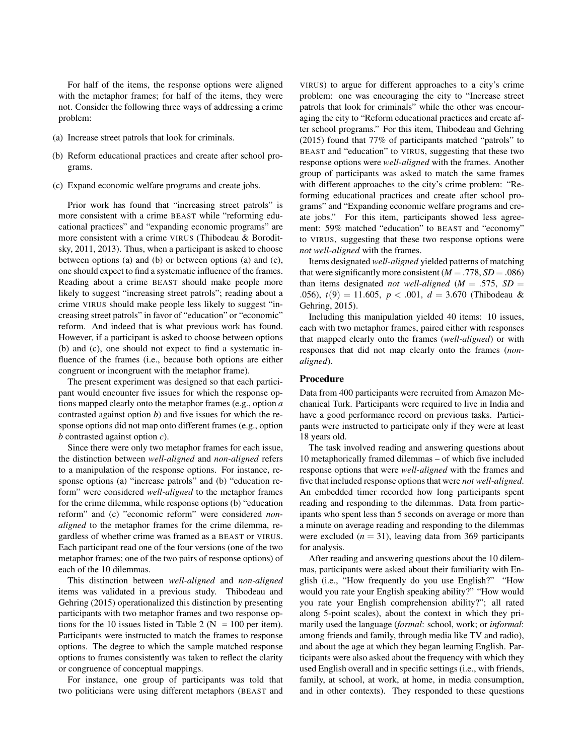For half of the items, the response options were aligned with the metaphor frames; for half of the items, they were not. Consider the following three ways of addressing a crime problem:

- (a) Increase street patrols that look for criminals.
- (b) Reform educational practices and create after school programs.
- (c) Expand economic welfare programs and create jobs.

Prior work has found that "increasing street patrols" is more consistent with a crime BEAST while "reforming educational practices" and "expanding economic programs" are more consistent with a crime VIRUS (Thibodeau & Boroditsky, 2011, 2013). Thus, when a participant is asked to choose between options (a) and (b) or between options (a) and (c), one should expect to find a systematic influence of the frames. Reading about a crime BEAST should make people more likely to suggest "increasing street patrols"; reading about a crime VIRUS should make people less likely to suggest "increasing street patrols" in favor of "education" or "economic" reform. And indeed that is what previous work has found. However, if a participant is asked to choose between options (b) and (c), one should not expect to find a systematic influence of the frames (i.e., because both options are either congruent or incongruent with the metaphor frame).

The present experiment was designed so that each participant would encounter five issues for which the response options mapped clearly onto the metaphor frames (e.g., option *a* contrasted against option *b*) and five issues for which the response options did not map onto different frames (e.g., option *b* contrasted against option *c*).

Since there were only two metaphor frames for each issue, the distinction between *well-aligned* and *non-aligned* refers to a manipulation of the response options. For instance, response options (a) "increase patrols" and (b) "education reform" were considered *well-aligned* to the metaphor frames for the crime dilemma, while response options (b) "education reform" and (c) "economic reform" were considered *nonaligned* to the metaphor frames for the crime dilemma, regardless of whether crime was framed as a BEAST or VIRUS. Each participant read one of the four versions (one of the two metaphor frames; one of the two pairs of response options) of each of the 10 dilemmas.

This distinction between *well-aligned* and *non-aligned* items was validated in a previous study. Thibodeau and Gehring (2015) operationalized this distinction by presenting participants with two metaphor frames and two response options for the 10 issues listed in Table 2 ( $N = 100$  per item). Participants were instructed to match the frames to response options. The degree to which the sample matched response options to frames consistently was taken to reflect the clarity or congruence of conceptual mappings.

For instance, one group of participants was told that two politicians were using different metaphors (BEAST and VIRUS) to argue for different approaches to a city's crime problem: one was encouraging the city to "Increase street patrols that look for criminals" while the other was encouraging the city to "Reform educational practices and create after school programs." For this item, Thibodeau and Gehring (2015) found that 77% of participants matched "patrols" to BEAST and "education" to VIRUS, suggesting that these two response options were *well-aligned* with the frames. Another group of participants was asked to match the same frames with different approaches to the city's crime problem: "Reforming educational practices and create after school programs" and "Expanding economic welfare programs and create jobs." For this item, participants showed less agreement: 59% matched "education" to BEAST and "economy" to VIRUS, suggesting that these two response options were *not well-aligned* with the frames.

Items designated *well-aligned* yielded patterns of matching that were significantly more consistent  $(M = .778, SD = .086)$ than items designated *not well-aligned* ( $M = .575$ ,  $SD =$ *.*056), *t*(9) = 11*.*605, *p < .*001, *d* = 3*.*670 (Thibodeau & Gehring, 2015).

Including this manipulation yielded 40 items: 10 issues, each with two metaphor frames, paired either with responses that mapped clearly onto the frames (*well-aligned*) or with responses that did not map clearly onto the frames (*nonaligned*).

## Procedure

Data from 400 participants were recruited from Amazon Mechanical Turk. Participants were required to live in India and have a good performance record on previous tasks. Participants were instructed to participate only if they were at least 18 years old.

The task involved reading and answering questions about 10 metaphorically framed dilemmas – of which five included response options that were *well-aligned* with the frames and five that included response options that were *not well-aligned*. An embedded timer recorded how long participants spent reading and responding to the dilemmas. Data from participants who spent less than 5 seconds on average or more than a minute on average reading and responding to the dilemmas were excluded  $(n = 31)$ , leaving data from 369 participants for analysis.

After reading and answering questions about the 10 dilemmas, participants were asked about their familiarity with English (i.e., "How frequently do you use English?" "How would you rate your English speaking ability?" "How would you rate your English comprehension ability?"; all rated along 5-point scales), about the context in which they primarily used the language (*formal*: school, work; or *informal*: among friends and family, through media like TV and radio), and about the age at which they began learning English. Participants were also asked about the frequency with which they used English overall and in specific settings (i.e., with friends, family, at school, at work, at home, in media consumption, and in other contexts). They responded to these questions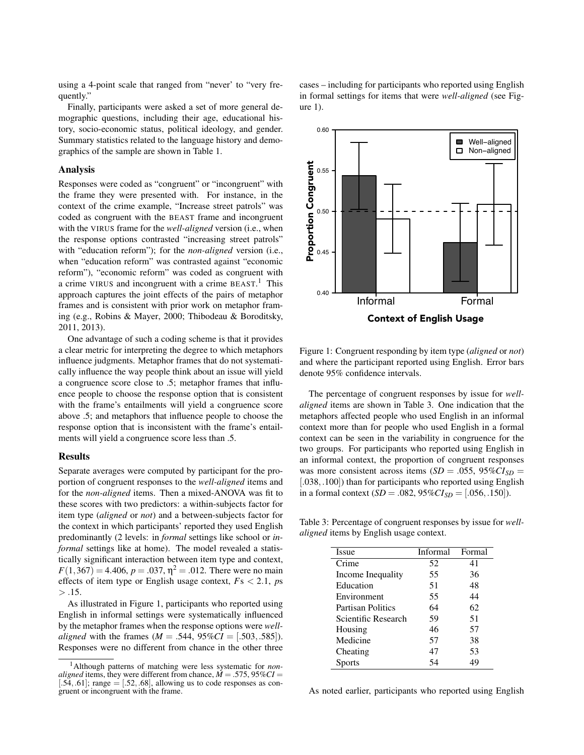using a 4-point scale that ranged from "never' to "very frequently.'

Finally, participants were asked a set of more general demographic questions, including their age, educational history, socio-economic status, political ideology, and gender. Summary statistics related to the language history and demographics of the sample are shown in Table 1.

### Analysis

Responses were coded as "congruent" or "incongruent" with the frame they were presented with. For instance, in the context of the crime example, "Increase street patrols" was coded as congruent with the BEAST frame and incongruent with the VIRUS frame for the *well-aligned* version (i.e., when the response options contrasted "increasing street patrols" with "education reform"); for the *non-aligned* version (i.e., when "education reform" was contrasted against "economic reform"), "economic reform" was coded as congruent with a crime VIRUS and incongruent with a crime BEAST.<sup>1</sup> This approach captures the joint effects of the pairs of metaphor frames and is consistent with prior work on metaphor framing (e.g., Robins & Mayer, 2000; Thibodeau & Boroditsky, 2011, 2013).

One advantage of such a coding scheme is that it provides a clear metric for interpreting the degree to which metaphors influence judgments. Metaphor frames that do not systematically influence the way people think about an issue will yield a congruence score close to .5; metaphor frames that influence people to choose the response option that is consistent with the frame's entailments will yield a congruence score above .5; and metaphors that influence people to choose the response option that is inconsistent with the frame's entailments will yield a congruence score less than .5.

### Results

Separate averages were computed by participant for the proportion of congruent responses to the *well-aligned* items and for the *non-aligned* items. Then a mixed-ANOVA was fit to these scores with two predictors: a within-subjects factor for item type (*aligned* or *not*) and a between-subjects factor for the context in which participants' reported they used English predominantly (2 levels: in *formal* settings like school or *informal* settings like at home). The model revealed a statistically significant interaction between item type and context,  $F(1,367) = 4.406$ ,  $p = .037$ ,  $\eta^2 = .012$ . There were no main effects of item type or English usage context, *F*s *<* 2*.*1, *p*s *> .*15.

As illustrated in Figure 1, participants who reported using English in informal settings were systematically influenced by the metaphor frames when the response options were *wellaligned* with the frames ( $M = .544, 95\%CI = [.503, .585]$ ). Responses were no different from chance in the other three

cases – including for participants who reported using English in formal settings for items that were *well-aligned* (see Figure 1).



Figure 1: Congruent responding by item type (*aligned* or *not*) and where the participant reported using English. Error bars denote 95% confidence intervals.

The percentage of congruent responses by issue for *wellaligned* items are shown in Table 3. One indication that the metaphors affected people who used English in an informal context more than for people who used English in a formal context can be seen in the variability in congruence for the two groups. For participants who reported using English in an informal context, the proportion of congruent responses was more consistent across items  $(SD = .055, 95\% CI_{SD} =$ [.038,.100]) than for participants who reported using English in a formal context  $(SD = .082, 95\%CI_{SD} = [.056, .150]).$ 

Table 3: Percentage of congruent responses by issue for *wellaligned* items by English usage context.

| Issue                    | Informal | Formal |
|--------------------------|----------|--------|
| Crime                    | 52       | 41     |
| Income Inequality        | 55       | 36     |
| Education                | 51       | 48     |
| Environment              | 55       | 44     |
| <b>Partisan Politics</b> | 64       | 62     |
| Scientific Research      | 59       | 51     |
| Housing                  | 46       | 57     |
| Medicine                 | 57       | 38     |
| Cheating                 | 47       | 53     |
| <b>Sports</b>            | 54       | 49     |

As noted earlier, participants who reported using English

<sup>&</sup>lt;sup>1</sup>Although patterns of matching were less systematic for *non- aligned* items, they were different from chance,  $M = .575, 95\%CI =$  $[0.54, 0.61]$ ; range  $=$  [.52, .68], allowing us to code responses as congruent or incongruent with the frame.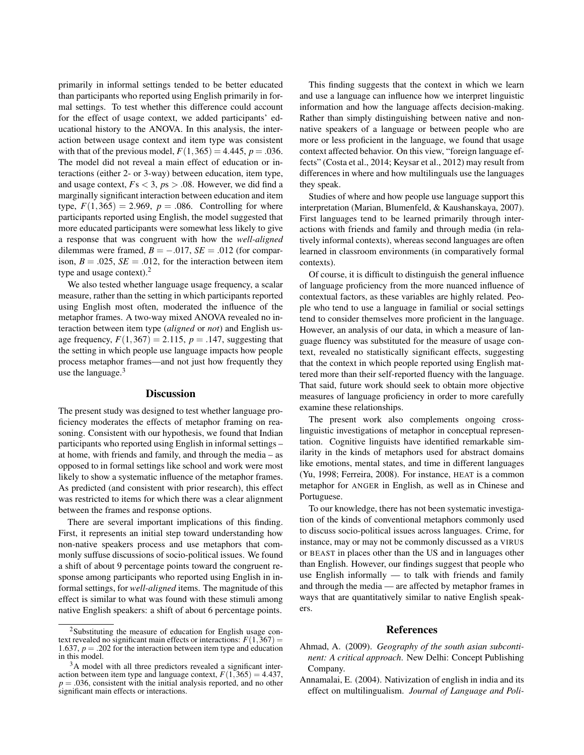primarily in informal settings tended to be better educated than participants who reported using English primarily in formal settings. To test whether this difference could account for the effect of usage context, we added participants' educational history to the ANOVA. In this analysis, the interaction between usage context and item type was consistent with that of the previous model,  $F(1,365) = 4.445$ ,  $p = .036$ . The model did not reveal a main effect of education or interactions (either 2- or 3-way) between education, item type, and usage context,  $Fs < 3$ ,  $ps > .08$ . However, we did find a marginally significant interaction between education and item type,  $F(1,365) = 2.969$ ,  $p = .086$ . Controlling for where participants reported using English, the model suggested that more educated participants were somewhat less likely to give a response that was congruent with how the *well-aligned* dilemmas were framed,  $B = -.017$ ,  $SE = .012$  (for comparison,  $B = .025$ ,  $SE = .012$ , for the interaction between item type and usage context).<sup>2</sup>

We also tested whether language usage frequency, a scalar measure, rather than the setting in which participants reported using English most often, moderated the influence of the metaphor frames. A two-way mixed ANOVA revealed no interaction between item type (*aligned* or *not*) and English usage frequency,  $F(1,367) = 2.115$ ,  $p = .147$ , suggesting that the setting in which people use language impacts how people process metaphor frames—and not just how frequently they use the language. $3$ 

## Discussion

The present study was designed to test whether language proficiency moderates the effects of metaphor framing on reasoning. Consistent with our hypothesis, we found that Indian participants who reported using English in informal settings – at home, with friends and family, and through the media – as opposed to in formal settings like school and work were most likely to show a systematic influence of the metaphor frames. As predicted (and consistent with prior research), this effect was restricted to items for which there was a clear alignment between the frames and response options.

There are several important implications of this finding. First, it represents an initial step toward understanding how non-native speakers process and use metaphors that commonly suffuse discussions of socio-political issues. We found a shift of about 9 percentage points toward the congruent response among participants who reported using English in informal settings, for *well-aligned* items. The magnitude of this effect is similar to what was found with these stimuli among native English speakers: a shift of about 6 percentage points.

This finding suggests that the context in which we learn and use a language can influence how we interpret linguistic information and how the language affects decision-making. Rather than simply distinguishing between native and nonnative speakers of a language or between people who are more or less proficient in the language, we found that usage context affected behavior. On this view, "foreign language effects" (Costa et al., 2014; Keysar et al., 2012) may result from differences in where and how multilinguals use the languages they speak.

Studies of where and how people use language support this interpretation (Marian, Blumenfeld, & Kaushanskaya, 2007). First languages tend to be learned primarily through interactions with friends and family and through media (in relatively informal contexts), whereas second languages are often learned in classroom environments (in comparatively formal contexts).

Of course, it is difficult to distinguish the general influence of language proficiency from the more nuanced influence of contextual factors, as these variables are highly related. People who tend to use a language in familial or social settings tend to consider themselves more proficient in the language. However, an analysis of our data, in which a measure of language fluency was substituted for the measure of usage context, revealed no statistically significant effects, suggesting that the context in which people reported using English mattered more than their self-reported fluency with the language. That said, future work should seek to obtain more objective measures of language proficiency in order to more carefully examine these relationships.

The present work also complements ongoing crosslinguistic investigations of metaphor in conceptual representation. Cognitive linguists have identified remarkable similarity in the kinds of metaphors used for abstract domains like emotions, mental states, and time in different languages (Yu, 1998; Ferreira, 2008). For instance, HEAT is a common metaphor for ANGER in English, as well as in Chinese and Portuguese.

To our knowledge, there has not been systematic investigation of the kinds of conventional metaphors commonly used to discuss socio-political issues across languages. Crime, for instance, may or may not be commonly discussed as a VIRUS or BEAST in places other than the US and in languages other than English. However, our findings suggest that people who use English informally — to talk with friends and family and through the media — are affected by metaphor frames in ways that are quantitatively similar to native English speakers.

## References

- Ahmad, A. (2009). *Geography of the south asian subcontinent: A critical approach*. New Delhi: Concept Publishing Company.
- Annamalai, E. (2004). Nativization of english in india and its effect on multilingualism. *Journal of Language and Poli-*

<sup>&</sup>lt;sup>2</sup>Substituting the measure of education for English usage context revealed no significant main effects or interactions:  $F(1,367) =$ 1*.*637, *p* = *.*202 for the interaction between item type and education in this model.

<sup>&</sup>lt;sup>3</sup>A model with all three predictors revealed a significant interaction between item type and language context,  $F(1,365) = 4.437$ ,  $p = .036$ , consistent with the initial analysis reported, and no other significant main effects or interactions.